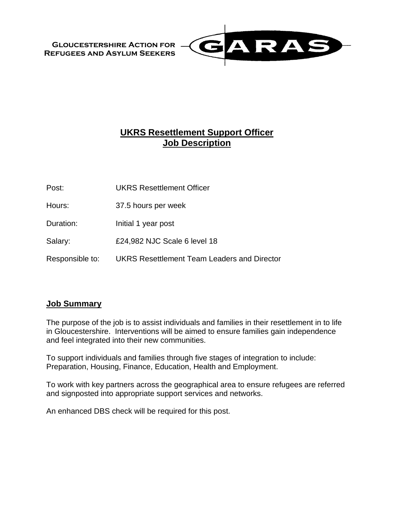**Gloucestershire Action for Refugees and Asylum Seekers**



# **UKRS Resettlement Support Officer Job Description**

Post: UKRS Resettlement Officer

Hours: 37.5 hours per week

Duration: Initial 1 year post

Salary: E24,982 NJC Scale 6 level 18

Responsible to: UKRS Resettlement Team Leaders and Director

#### **Job Summary**

The purpose of the job is to assist individuals and families in their resettlement in to life in Gloucestershire. Interventions will be aimed to ensure families gain independence and feel integrated into their new communities.

To support individuals and families through five stages of integration to include: Preparation, Housing, Finance, Education, Health and Employment.

To work with key partners across the geographical area to ensure refugees are referred and signposted into appropriate support services and networks.

An enhanced DBS check will be required for this post.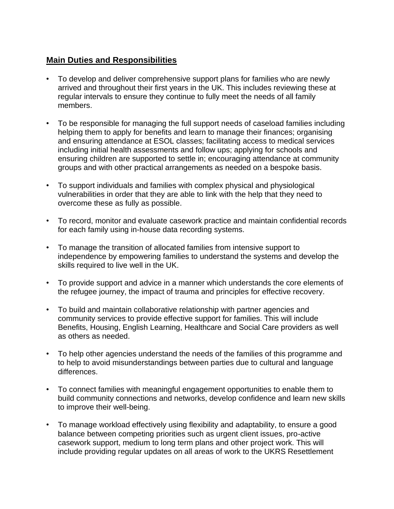#### **Main Duties and Responsibilities**

- To develop and deliver comprehensive support plans for families who are newly arrived and throughout their first years in the UK. This includes reviewing these at regular intervals to ensure they continue to fully meet the needs of all family members.
- To be responsible for managing the full support needs of caseload families including helping them to apply for benefits and learn to manage their finances; organising and ensuring attendance at ESOL classes; facilitating access to medical services including initial health assessments and follow ups; applying for schools and ensuring children are supported to settle in; encouraging attendance at community groups and with other practical arrangements as needed on a bespoke basis.
- To support individuals and families with complex physical and physiological vulnerabilities in order that they are able to link with the help that they need to overcome these as fully as possible.
- To record, monitor and evaluate casework practice and maintain confidential records for each family using in-house data recording systems.
- To manage the transition of allocated families from intensive support to independence by empowering families to understand the systems and develop the skills required to live well in the UK.
- To provide support and advice in a manner which understands the core elements of the refugee journey, the impact of trauma and principles for effective recovery.
- To build and maintain collaborative relationship with partner agencies and community services to provide effective support for families. This will include Benefits, Housing, English Learning, Healthcare and Social Care providers as well as others as needed.
- To help other agencies understand the needs of the families of this programme and to help to avoid misunderstandings between parties due to cultural and language differences.
- To connect families with meaningful engagement opportunities to enable them to build community connections and networks, develop confidence and learn new skills to improve their well-being.
- To manage workload effectively using flexibility and adaptability, to ensure a good balance between competing priorities such as urgent client issues, pro-active casework support, medium to long term plans and other project work. This will include providing regular updates on all areas of work to the UKRS Resettlement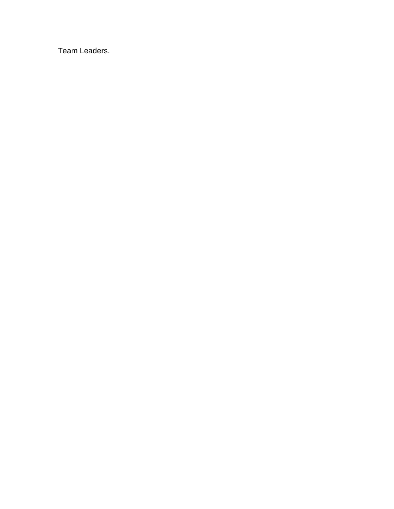Team Leaders.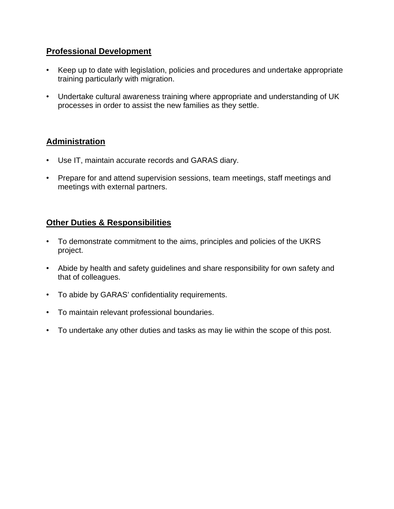#### **Professional Development**

- Keep up to date with legislation, policies and procedures and undertake appropriate training particularly with migration.
- Undertake cultural awareness training where appropriate and understanding of UK processes in order to assist the new families as they settle.

## **Administration**

- Use IT, maintain accurate records and GARAS diary.
- Prepare for and attend supervision sessions, team meetings, staff meetings and meetings with external partners.

## **Other Duties & Responsibilities**

- To demonstrate commitment to the aims, principles and policies of the UKRS project.
- Abide by health and safety guidelines and share responsibility for own safety and that of colleagues.
- To abide by GARAS' confidentiality requirements.
- To maintain relevant professional boundaries.
- To undertake any other duties and tasks as may lie within the scope of this post.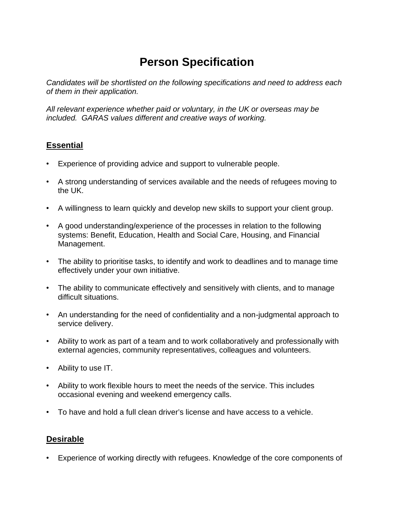# **Person Specification**

*Candidates will be shortlisted on the following specifications and need to address each of them in their application.*

*All relevant experience whether paid or voluntary, in the UK or overseas may be included. GARAS values different and creative ways of working.*

## **Essential**

- Experience of providing advice and support to vulnerable people.
- A strong understanding of services available and the needs of refugees moving to the UK.
- A willingness to learn quickly and develop new skills to support your client group.
- A good understanding/experience of the processes in relation to the following systems: Benefit, Education, Health and Social Care, Housing, and Financial Management.
- The ability to prioritise tasks, to identify and work to deadlines and to manage time effectively under your own initiative.
- The ability to communicate effectively and sensitively with clients, and to manage difficult situations.
- An understanding for the need of confidentiality and a non-judgmental approach to service delivery.
- Ability to work as part of a team and to work collaboratively and professionally with external agencies, community representatives, colleagues and volunteers.
- Ability to use IT.
- Ability to work flexible hours to meet the needs of the service. This includes occasional evening and weekend emergency calls.
- To have and hold a full clean driver's license and have access to a vehicle.

#### **Desirable**

• Experience of working directly with refugees. Knowledge of the core components of